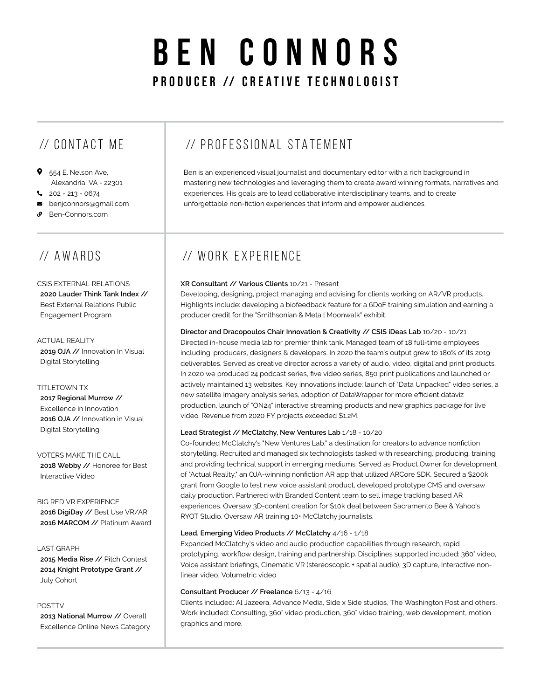# **BEN CONNORS** PRODUCER // CREATIVE TECHNOLOGIST

# // CONTACT ME

- 9 554 E. Nelson Ave, Alexandria, VA - 22301
- $202 213 0674$
- **B** benjconnors@gmail.com
- Ben-Connors.com

# // AWARDS

CSIS EXTERNAL RELATIONS **2020 Lauder Think Tank Index //** Best External Relations Public Engagement Program

ACTUAL REALITY **2019 OJA //** Innovation In Visual Digital Storytelling

### TITLETOWN TX

**2017 Regional Murrow //** Excellence in Innovation **2016 OJA //** Innovation in Visual Digital Storytelling

VOTERS MAKE THE CALL **2018 Webby //** Honoree for Best Interactive Video

BIG RED VR EXPERIENCE **2016 DigiDay //** Best Use VR/AR **2016 MARCOM //** Platinum Award

LAST GRAPH **2015 Media Rise //** Pitch Contest **2014 Knight Prototype Grant //** July Cohort

### POSTTV

**2013 National Murrow //** Overall Excellence Online News Category

### // PROFESSIONAL STATEMENT

Ben is an experienced visual journalist and documentary editor with a rich background in mastering new technologies and leveraging them to create award winning formats, narratives and experiences. His goals are to lead collaborative interdisciplinary teams, and to create unforgettable non-fiction experiences that inform and empower audiences.

### // WORK EXPERIENCE

### **XR Consultant // Various Clients** 10/21 - Present

Developing, designing, project managing and advising for clients working on AR/VR products. Highlights include: developing a biofeedback feature for a 6DoF training simulation and earning a producer credit for the "Smithsonian & Meta | Moonwalk" exhibit.

**Director and Dracopoulos Chair Innovation & Creativity // CSIS iDeas Lab** 10/20 - 10/21 Directed in-house media lab for premier think tank. Managed team of 18 full-time employees including: producers, designers & developers. In 2020 the team's output grew to 180% of its 2019 deliverables. Served as creative director across a variety of audio, video, digital and print products. In 2020 we produced 24 podcast series, five video series, 850 print publications and launched or actively maintained 13 websites. Key innovations include: launch of "Data Unpacked" video series, a new satellite imagery analysis series, adoption of DataWrapper for more efficient dataviz production, launch of "ON24" interactive streaming products and new graphics package for live video. Revenue from 2020 FY projects exceeded \$1.2M.

### **Lead Strategist // McClatchy, New Ventures Lab** 1/18 - 10/20

Co-founded McClatchy's "New Ventures Lab," a destination for creators to advance nonfiction storytelling. Recruited and managed six technologists tasked with researching, producing, training and providing technical support in emerging mediums. Served as Product Owner for development of "Actual Reality," an OJA-winning nonfiction AR app that utilized ARCore SDK. Secured a \$200k grant from Google to test new voice assistant product, developed prototype CMS and oversaw daily production. Partnered with Branded Content team to sell image tracking based AR experiences. Oversaw 3D-content creation for \$10k deal between Sacramento Bee & Yahoo's RYOT Studio. Oversaw AR training 10+ McClatchy journalists.

### **Lead, Emerging Video Products // McClatchy** 4/16 - 1/18

Expanded McClatchy's video and audio production capabilities through research, rapid prototyping, workflow design, training and partnership. Disciplines supported included: 360° video, Voice assistant briefings, Cinematic VR (stereoscopic + spatial audio), 3D capture, Interactive nonlinear video, Volumetric video

#### **Consultant Producer // Freelance** 6/13 - 4/16

Clients included: Al Jazeera, Advance Media, Side x Side studios, The Washington Post and others. Work included: Consulting, 360° video production, 360° video training, web development, motion graphics and more.